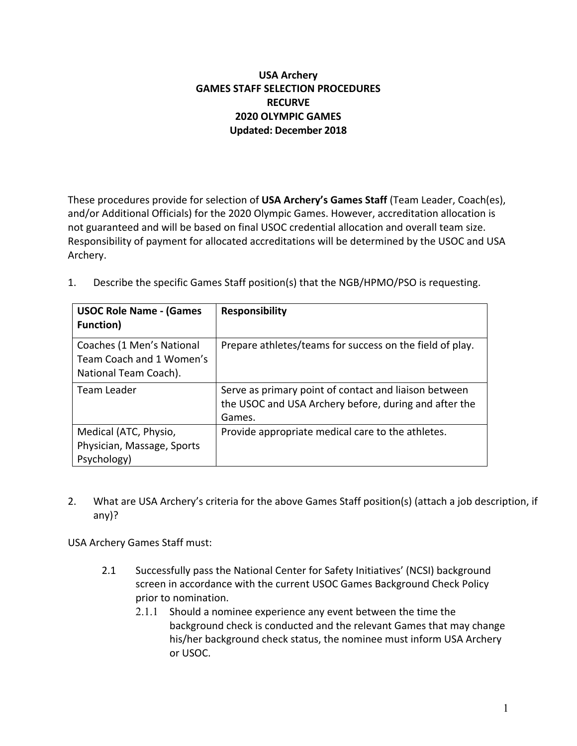# **USA Archery GAMES STAFF SELECTION PROCEDURES RECURVE 2020 OLYMPIC GAMES Updated: December 2018**

These procedures provide for selection of **USA Archery's Games Staff** (Team Leader, Coach(es), and/or Additional Officials) for the 2020 Olympic Games. However, accreditation allocation is not guaranteed and will be based on final USOC credential allocation and overall team size. Responsibility of payment for allocated accreditations will be determined by the USOC and USA Archery.

| <b>USOC Role Name - (Games</b><br><b>Function</b> )                            | <b>Responsibility</b>                                                                                                    |
|--------------------------------------------------------------------------------|--------------------------------------------------------------------------------------------------------------------------|
| Coaches (1 Men's National<br>Team Coach and 1 Women's<br>National Team Coach). | Prepare athletes/teams for success on the field of play.                                                                 |
| Team Leader                                                                    | Serve as primary point of contact and liaison between<br>the USOC and USA Archery before, during and after the<br>Games. |
| Medical (ATC, Physio,<br>Physician, Massage, Sports<br>Psychology)             | Provide appropriate medical care to the athletes.                                                                        |

1. Describe the specific Games Staff position(s) that the NGB/HPMO/PSO is requesting.

2. What are USA Archery's criteria for the above Games Staff position(s) (attach a job description, if any)?

USA Archery Games Staff must:

- 2.1 Successfully pass the National Center for Safety Initiatives' (NCSI) background screen in accordance with the current USOC Games Background Check Policy prior to nomination.
	- 2.1.1 Should a nominee experience any event between the time the background check is conducted and the relevant Games that may change his/her background check status, the nominee must inform USA Archery or USOC.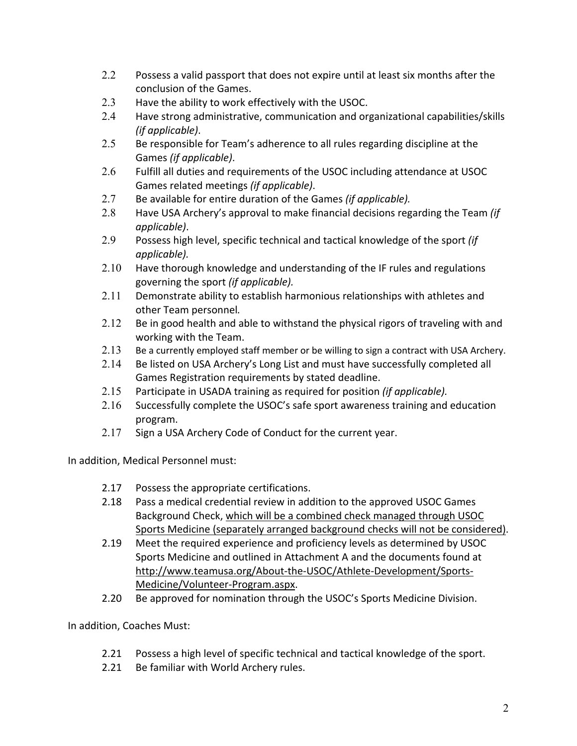- 2.2 Possess a valid passport that does not expire until at least six months after the conclusion of the Games.
- 2.3 Have the ability to work effectively with the USOC.
- 2.4 Have strong administrative, communication and organizational capabilities/skills *(if applicable)*.
- 2.5 Be responsible for Team's adherence to all rules regarding discipline at the Games *(if applicable)*.
- 2.6 Fulfill all duties and requirements of the USOC including attendance at USOC Games related meetings *(if applicable)*.
- 2.7 Be available for entire duration of the Games *(if applicable).*
- 2.8 Have USA Archery's approval to make financial decisions regarding the Team *(if applicable)*.
- 2.9 Possess high level, specific technical and tactical knowledge of the sport *(if applicable).*
- 2.10 Have thorough knowledge and understanding of the IF rules and regulations governing the sport *(if applicable).*
- 2.11 Demonstrate ability to establish harmonious relationships with athletes and other Team personnel*.*
- 2.12 Be in good health and able to withstand the physical rigors of traveling with and working with the Team.
- 2.13 Be a currently employed staff member or be willing to sign a contract with USA Archery.
- 2.14 Be listed on USA Archery's Long List and must have successfully completed all Games Registration requirements by stated deadline.
- 2.15 Participate in USADA training as required for position *(if applicable).*
- 2.16 Successfully complete the USOC's safe sport awareness training and education program.
- 2.17 Sign a USA Archery Code of Conduct for the current year.

In addition, Medical Personnel must:

- 2.17 Possess the appropriate certifications.
- 2.18 Pass a medical credential review in addition to the approved USOC Games Background Check, which will be a combined check managed through USOC Sports Medicine (separately arranged background checks will not be considered).
- 2.19 Meet the required experience and proficiency levels as determined by USOC Sports Medicine and outlined in Attachment A and the documents found at http://www.teamusa.org/About-the-USOC/Athlete-Development/Sports-Medicine/Volunteer-Program.aspx.
- 2.20 Be approved for nomination through the USOC's Sports Medicine Division.

In addition, Coaches Must:

- 2.21 Possess a high level of specific technical and tactical knowledge of the sport.
- 2.21 Be familiar with World Archery rules.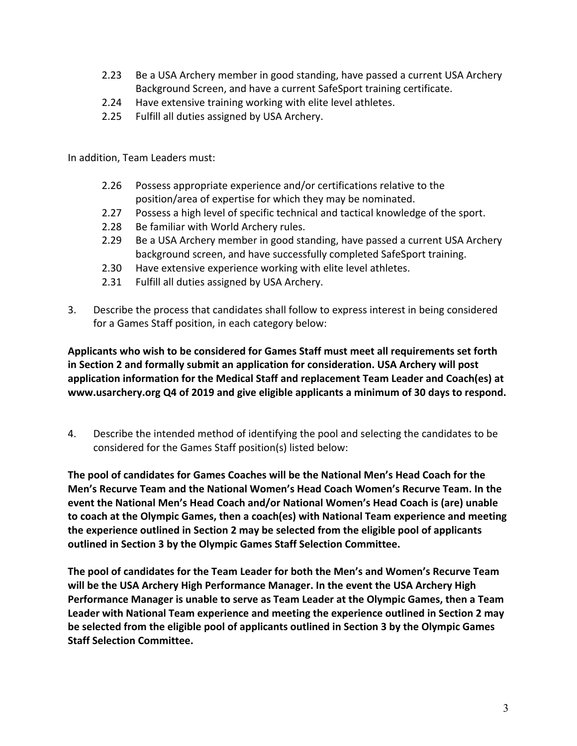- 2.23 Be a USA Archery member in good standing, have passed a current USA Archery Background Screen, and have a current SafeSport training certificate.
- 2.24 Have extensive training working with elite level athletes.
- 2.25 Fulfill all duties assigned by USA Archery.

In addition, Team Leaders must:

- 2.26 Possess appropriate experience and/or certifications relative to the position/area of expertise for which they may be nominated.
- 2.27 Possess a high level of specific technical and tactical knowledge of the sport.
- 2.28 Be familiar with World Archery rules.
- 2.29 Be a USA Archery member in good standing, have passed a current USA Archery background screen, and have successfully completed SafeSport training.
- 2.30 Have extensive experience working with elite level athletes.
- 2.31 Fulfill all duties assigned by USA Archery.
- 3. Describe the process that candidates shall follow to express interest in being considered for a Games Staff position, in each category below:

**Applicants who wish to be considered for Games Staff must meet all requirements set forth in Section 2 and formally submit an application for consideration. USA Archery will post application information for the Medical Staff and replacement Team Leader and Coach(es) at www.usarchery.org Q4 of 2019 and give eligible applicants a minimum of 30 days to respond.** 

4. Describe the intended method of identifying the pool and selecting the candidates to be considered for the Games Staff position(s) listed below:

**The pool of candidates for Games Coaches will be the National Men's Head Coach for the Men's Recurve Team and the National Women's Head Coach Women's Recurve Team. In the event the National Men's Head Coach and/or National Women's Head Coach is (are) unable to coach at the Olympic Games, then a coach(es) with National Team experience and meeting the experience outlined in Section 2 may be selected from the eligible pool of applicants outlined in Section 3 by the Olympic Games Staff Selection Committee.**

**The pool of candidates for the Team Leader for both the Men's and Women's Recurve Team will be the USA Archery High Performance Manager. In the event the USA Archery High Performance Manager is unable to serve as Team Leader at the Olympic Games, then a Team Leader with National Team experience and meeting the experience outlined in Section 2 may be selected from the eligible pool of applicants outlined in Section 3 by the Olympic Games Staff Selection Committee.**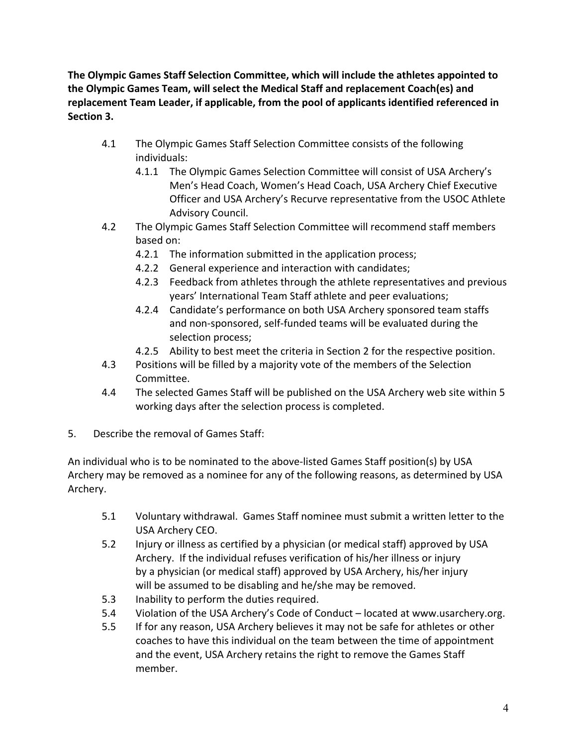**The Olympic Games Staff Selection Committee, which will include the athletes appointed to the Olympic Games Team, will select the Medical Staff and replacement Coach(es) and replacement Team Leader, if applicable, from the pool of applicants identified referenced in Section 3.** 

- 4.1 The Olympic Games Staff Selection Committee consists of the following individuals:
	- 4.1.1 The Olympic Games Selection Committee will consist of USA Archery's Men's Head Coach, Women's Head Coach, USA Archery Chief Executive Officer and USA Archery's Recurve representative from the USOC Athlete Advisory Council.
- 4.2 The Olympic Games Staff Selection Committee will recommend staff members based on:
	- 4.2.1 The information submitted in the application process;
	- 4.2.2 General experience and interaction with candidates;
	- 4.2.3 Feedback from athletes through the athlete representatives and previous years' International Team Staff athlete and peer evaluations;
	- 4.2.4 Candidate's performance on both USA Archery sponsored team staffs and non-sponsored, self-funded teams will be evaluated during the selection process;
	- 4.2.5 Ability to best meet the criteria in Section 2 for the respective position.
- 4.3 Positions will be filled by a majority vote of the members of the Selection Committee.
- 4.4 The selected Games Staff will be published on the USA Archery web site within 5 working days after the selection process is completed.
- 5. Describe the removal of Games Staff:

An individual who is to be nominated to the above-listed Games Staff position(s) by USA Archery may be removed as a nominee for any of the following reasons, as determined by USA Archery.

- 5.1 Voluntary withdrawal. Games Staff nominee must submit a written letter to the USA Archery CEO.
- 5.2 Injury or illness as certified by a physician (or medical staff) approved by USA Archery. If the individual refuses verification of his/her illness or injury by a physician (or medical staff) approved by USA Archery, his/her injury will be assumed to be disabling and he/she may be removed.
- 5.3 Inability to perform the duties required.
- 5.4 Violation of the USA Archery's Code of Conduct located at www.usarchery.org.
- 5.5 If for any reason, USA Archery believes it may not be safe for athletes or other coaches to have this individual on the team between the time of appointment and the event, USA Archery retains the right to remove the Games Staff member.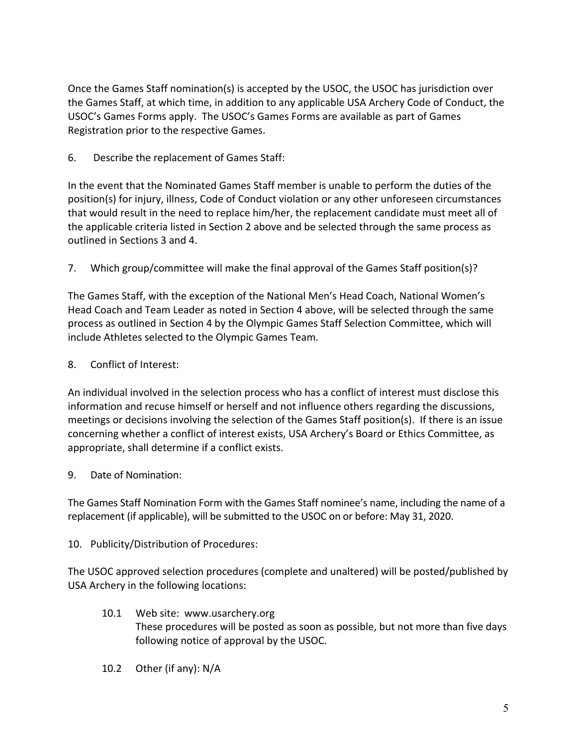Once the Games Staff nomination(s) is accepted by the USOC, the USOC has jurisdiction over the Games Staff, at which time, in addition to any applicable USA Archery Code of Conduct, the USOC's Games Forms apply. The USOC's Games Forms are available as part of Games Registration prior to the respective Games.

6. Describe the replacement of Games Staff:

In the event that the Nominated Games Staff member is unable to perform the duties of the position(s) for injury, illness, Code of Conduct violation or any other unforeseen circumstances that would result in the need to replace him/her, the replacement candidate must meet all of the applicable criteria listed in Section 2 above and be selected through the same process as outlined in Sections 3 and 4.

7. Which group/committee will make the final approval of the Games Staff position(s)?

The Games Staff, with the exception of the National Men's Head Coach, National Women's Head Coach and Team Leader as noted in Section 4 above, will be selected through the same process as outlined in Section 4 by the Olympic Games Staff Selection Committee, which will include Athletes selected to the Olympic Games Team.

8. Conflict of Interest:

An individual involved in the selection process who has a conflict of interest must disclose this information and recuse himself or herself and not influence others regarding the discussions, meetings or decisions involving the selection of the Games Staff position(s). If there is an issue concerning whether a conflict of interest exists, USA Archery's Board or Ethics Committee, as appropriate, shall determine if a conflict exists.

9. Date of Nomination:

The Games Staff Nomination Form with the Games Staff nominee's name, including the name of a replacement (if applicable), will be submitted to the USOC on or before: May 31, 2020.

10. Publicity/Distribution of Procedures:

The USOC approved selection procedures (complete and unaltered) will be posted/published by USA Archery in the following locations:

- 10.1 Web site: www.usarchery.org These procedures will be posted as soon as possible, but not more than five days following notice of approval by the USOC.
- 10.2 Other (if any): N/A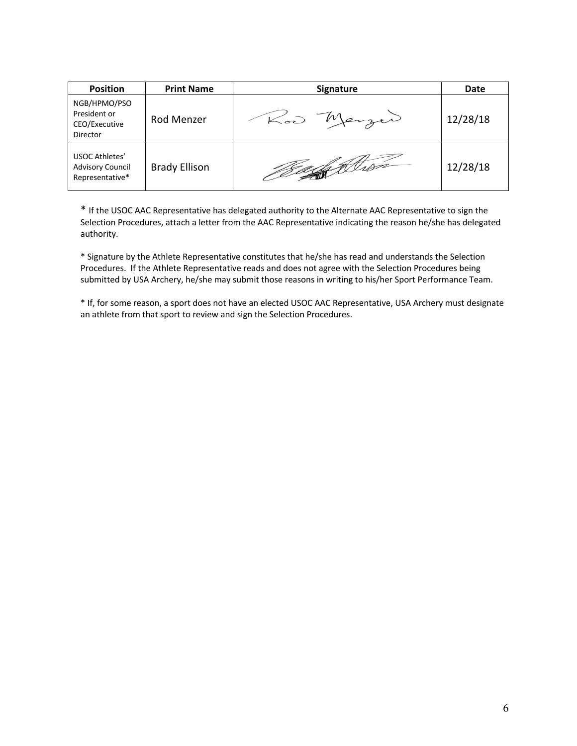| <b>Position</b>                                                  | <b>Print Name</b>    | Signature     | Date     |
|------------------------------------------------------------------|----------------------|---------------|----------|
| NGB/HPMO/PSO<br>President or<br>CEO/Executive<br><b>Director</b> | Rod Menzer           | Merzer<br>Kod | 12/28/18 |
| USOC Athletes'<br><b>Advisory Council</b><br>Representative*     | <b>Brady Ellison</b> |               | 12/28/18 |

\* If the USOC AAC Representative has delegated authority to the Alternate AAC Representative to sign the Selection Procedures, attach a letter from the AAC Representative indicating the reason he/she has delegated authority.

\* Signature by the Athlete Representative constitutes that he/she has read and understands the Selection Procedures. If the Athlete Representative reads and does not agree with the Selection Procedures being submitted by USA Archery, he/she may submit those reasons in writing to his/her Sport Performance Team.

\* If, for some reason, a sport does not have an elected USOC AAC Representative, USA Archery must designate an athlete from that sport to review and sign the Selection Procedures.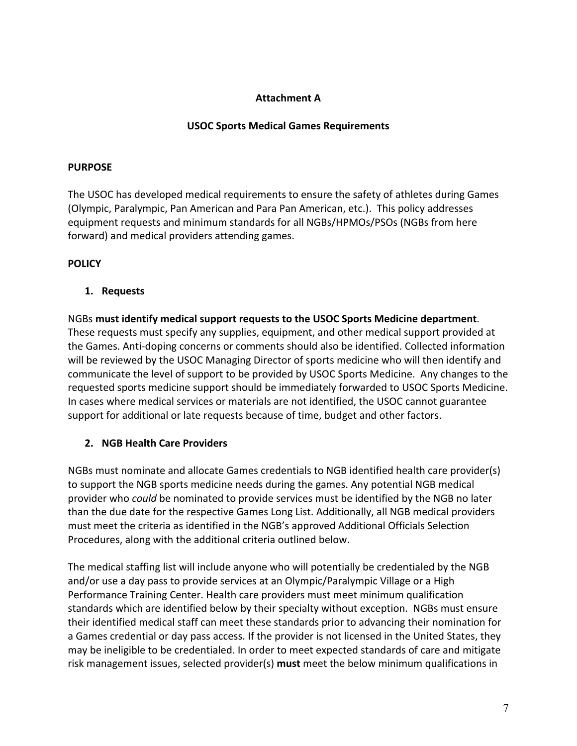## **Attachment A**

### **USOC Sports Medical Games Requirements**

#### **PURPOSE**

The USOC has developed medical requirements to ensure the safety of athletes during Games (Olympic, Paralympic, Pan American and Para Pan American, etc.). This policy addresses equipment requests and minimum standards for all NGBs/HPMOs/PSOs (NGBs from here forward) and medical providers attending games.

## **POLICY**

### **1. Requests**

NGBs **must identify medical support requests to the USOC Sports Medicine department**. These requests must specify any supplies, equipment, and other medical support provided at the Games. Anti-doping concerns or comments should also be identified. Collected information will be reviewed by the USOC Managing Director of sports medicine who will then identify and communicate the level of support to be provided by USOC Sports Medicine. Any changes to the requested sports medicine support should be immediately forwarded to USOC Sports Medicine. In cases where medical services or materials are not identified, the USOC cannot guarantee support for additional or late requests because of time, budget and other factors.

## **2. NGB Health Care Providers**

NGBs must nominate and allocate Games credentials to NGB identified health care provider(s) to support the NGB sports medicine needs during the games. Any potential NGB medical provider who *could* be nominated to provide services must be identified by the NGB no later than the due date for the respective Games Long List. Additionally, all NGB medical providers must meet the criteria as identified in the NGB's approved Additional Officials Selection Procedures, along with the additional criteria outlined below.

The medical staffing list will include anyone who will potentially be credentialed by the NGB and/or use a day pass to provide services at an Olympic/Paralympic Village or a High Performance Training Center. Health care providers must meet minimum qualification standards which are identified below by their specialty without exception. NGBs must ensure their identified medical staff can meet these standards prior to advancing their nomination for a Games credential or day pass access. If the provider is not licensed in the United States, they may be ineligible to be credentialed. In order to meet expected standards of care and mitigate risk management issues, selected provider(s) **must** meet the below minimum qualifications in